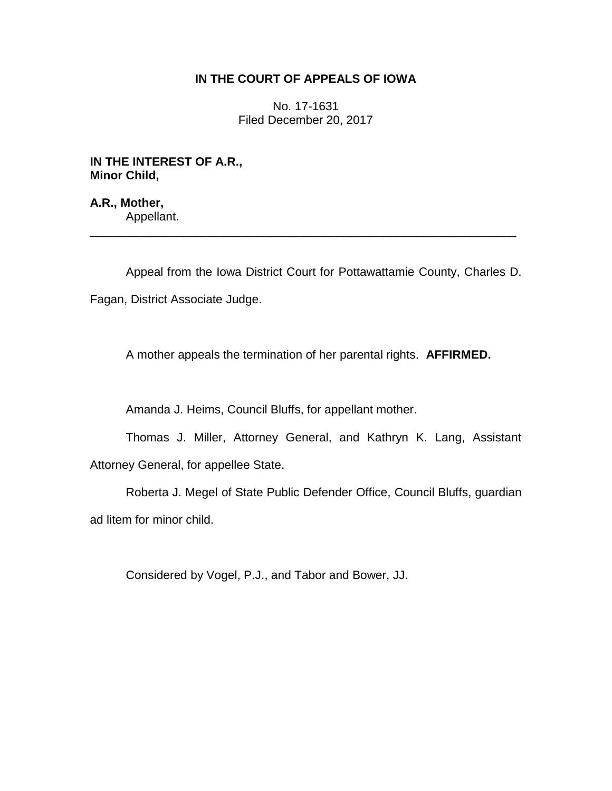## **IN THE COURT OF APPEALS OF IOWA**

No. 17-1631 Filed December 20, 2017

**IN THE INTEREST OF A.R., Minor Child,**

**A.R., Mother,** Appellant.

Appeal from the Iowa District Court for Pottawattamie County, Charles D. Fagan, District Associate Judge.

\_\_\_\_\_\_\_\_\_\_\_\_\_\_\_\_\_\_\_\_\_\_\_\_\_\_\_\_\_\_\_\_\_\_\_\_\_\_\_\_\_\_\_\_\_\_\_\_\_\_\_\_\_\_\_\_\_\_\_\_\_\_\_\_

A mother appeals the termination of her parental rights. **AFFIRMED.**

Amanda J. Heims, Council Bluffs, for appellant mother.

Thomas J. Miller, Attorney General, and Kathryn K. Lang, Assistant Attorney General, for appellee State.

Roberta J. Megel of State Public Defender Office, Council Bluffs, guardian ad litem for minor child.

Considered by Vogel, P.J., and Tabor and Bower, JJ.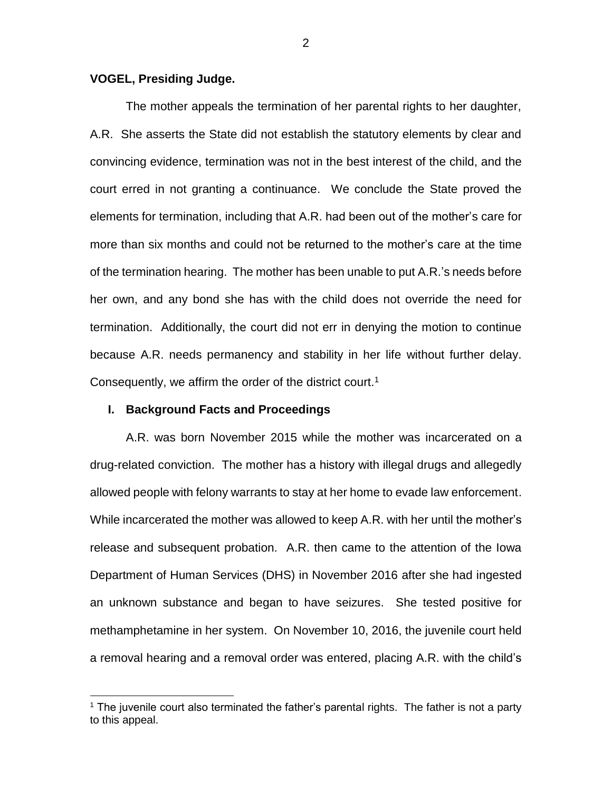### **VOGEL, Presiding Judge.**

The mother appeals the termination of her parental rights to her daughter, A.R. She asserts the State did not establish the statutory elements by clear and convincing evidence, termination was not in the best interest of the child, and the court erred in not granting a continuance. We conclude the State proved the elements for termination, including that A.R. had been out of the mother's care for more than six months and could not be returned to the mother's care at the time of the termination hearing. The mother has been unable to put A.R.'s needs before her own, and any bond she has with the child does not override the need for termination. Additionally, the court did not err in denying the motion to continue because A.R. needs permanency and stability in her life without further delay. Consequently, we affirm the order of the district court.<sup>1</sup>

### **I. Background Facts and Proceedings**

 $\overline{a}$ 

A.R. was born November 2015 while the mother was incarcerated on a drug-related conviction. The mother has a history with illegal drugs and allegedly allowed people with felony warrants to stay at her home to evade law enforcement. While incarcerated the mother was allowed to keep A.R. with her until the mother's release and subsequent probation. A.R. then came to the attention of the Iowa Department of Human Services (DHS) in November 2016 after she had ingested an unknown substance and began to have seizures. She tested positive for methamphetamine in her system. On November 10, 2016, the juvenile court held a removal hearing and a removal order was entered, placing A.R. with the child's

 $<sup>1</sup>$  The juvenile court also terminated the father's parental rights. The father is not a party</sup> to this appeal.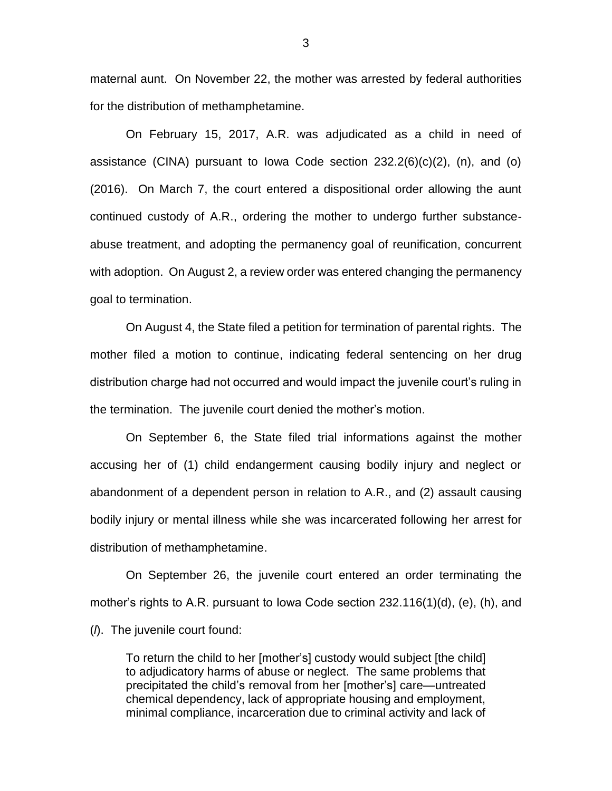maternal aunt. On November 22, the mother was arrested by federal authorities for the distribution of methamphetamine.

On February 15, 2017, A.R. was adjudicated as a child in need of assistance (CINA) pursuant to Iowa Code section 232.2(6)(c)(2), (n), and (o) (2016). On March 7, the court entered a dispositional order allowing the aunt continued custody of A.R., ordering the mother to undergo further substanceabuse treatment, and adopting the permanency goal of reunification, concurrent with adoption. On August 2, a review order was entered changing the permanency goal to termination.

On August 4, the State filed a petition for termination of parental rights. The mother filed a motion to continue, indicating federal sentencing on her drug distribution charge had not occurred and would impact the juvenile court's ruling in the termination. The juvenile court denied the mother's motion.

On September 6, the State filed trial informations against the mother accusing her of (1) child endangerment causing bodily injury and neglect or abandonment of a dependent person in relation to A.R., and (2) assault causing bodily injury or mental illness while she was incarcerated following her arrest for distribution of methamphetamine.

On September 26, the juvenile court entered an order terminating the mother's rights to A.R. pursuant to Iowa Code section 232.116(1)(d), (e), (h), and (*l*). The juvenile court found:

To return the child to her [mother's] custody would subject [the child] to adjudicatory harms of abuse or neglect. The same problems that precipitated the child's removal from her [mother's] care—untreated chemical dependency, lack of appropriate housing and employment, minimal compliance, incarceration due to criminal activity and lack of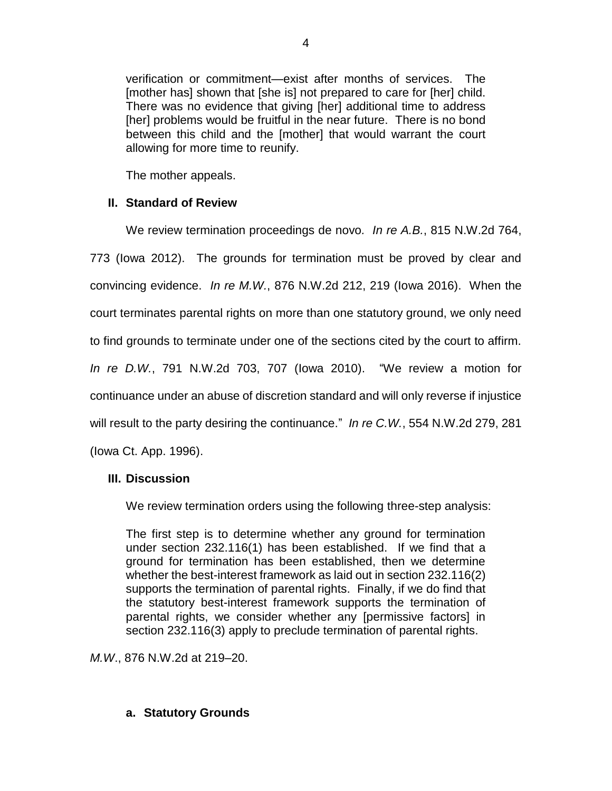verification or commitment—exist after months of services. The [mother has] shown that [she is] not prepared to care for [her] child. There was no evidence that giving [her] additional time to address [her] problems would be fruitful in the near future. There is no bond between this child and the [mother] that would warrant the court allowing for more time to reunify.

The mother appeals.

# **II. Standard of Review**

We review termination proceedings de novo*. In re A.B.*, 815 N.W.2d 764, 773 (Iowa 2012). The grounds for termination must be proved by clear and convincing evidence. *In re M.W.*, 876 N.W.2d 212, 219 (Iowa 2016). When the court terminates parental rights on more than one statutory ground, we only need to find grounds to terminate under one of the sections cited by the court to affirm. *In re D.W.*, 791 N.W.2d 703, 707 (Iowa 2010). "We review a motion for continuance under an abuse of discretion standard and will only reverse if injustice will result to the party desiring the continuance." *In re C.W.*, 554 N.W.2d 279, 281 (Iowa Ct. App. 1996).

## **III. Discussion**

We review termination orders using the following three-step analysis:

The first step is to determine whether any ground for termination under section 232.116(1) has been established. If we find that a ground for termination has been established, then we determine whether the best-interest framework as laid out in section 232.116(2) supports the termination of parental rights. Finally, if we do find that the statutory best-interest framework supports the termination of parental rights, we consider whether any [permissive factors] in section 232.116(3) apply to preclude termination of parental rights.

*M.W*., 876 N.W.2d at 219–20.

# **a. Statutory Grounds**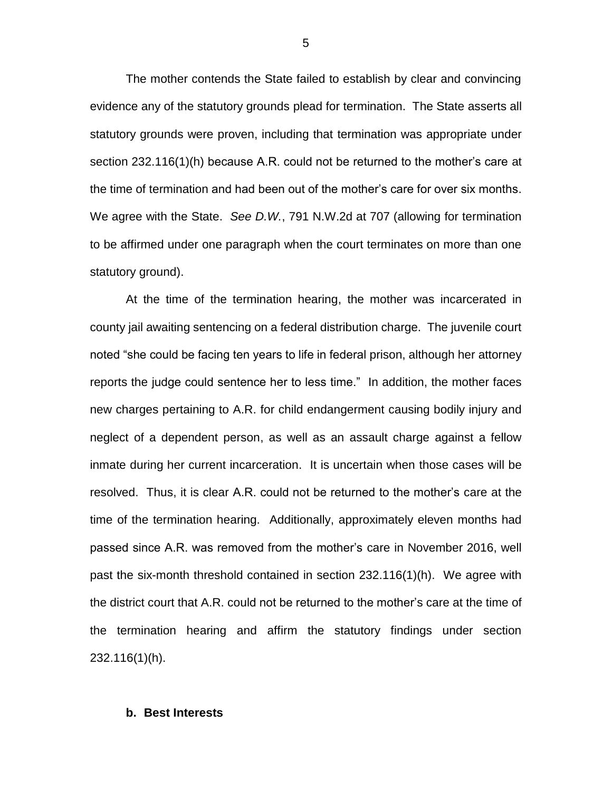The mother contends the State failed to establish by clear and convincing evidence any of the statutory grounds plead for termination. The State asserts all statutory grounds were proven, including that termination was appropriate under section 232.116(1)(h) because A.R. could not be returned to the mother's care at the time of termination and had been out of the mother's care for over six months. We agree with the State. *See D.W.*, 791 N.W.2d at 707 (allowing for termination to be affirmed under one paragraph when the court terminates on more than one statutory ground).

At the time of the termination hearing, the mother was incarcerated in county jail awaiting sentencing on a federal distribution charge. The juvenile court noted "she could be facing ten years to life in federal prison, although her attorney reports the judge could sentence her to less time." In addition, the mother faces new charges pertaining to A.R. for child endangerment causing bodily injury and neglect of a dependent person, as well as an assault charge against a fellow inmate during her current incarceration. It is uncertain when those cases will be resolved. Thus, it is clear A.R. could not be returned to the mother's care at the time of the termination hearing. Additionally, approximately eleven months had passed since A.R. was removed from the mother's care in November 2016, well past the six-month threshold contained in section 232.116(1)(h). We agree with the district court that A.R. could not be returned to the mother's care at the time of the termination hearing and affirm the statutory findings under section 232.116(1)(h).

#### **b. Best Interests**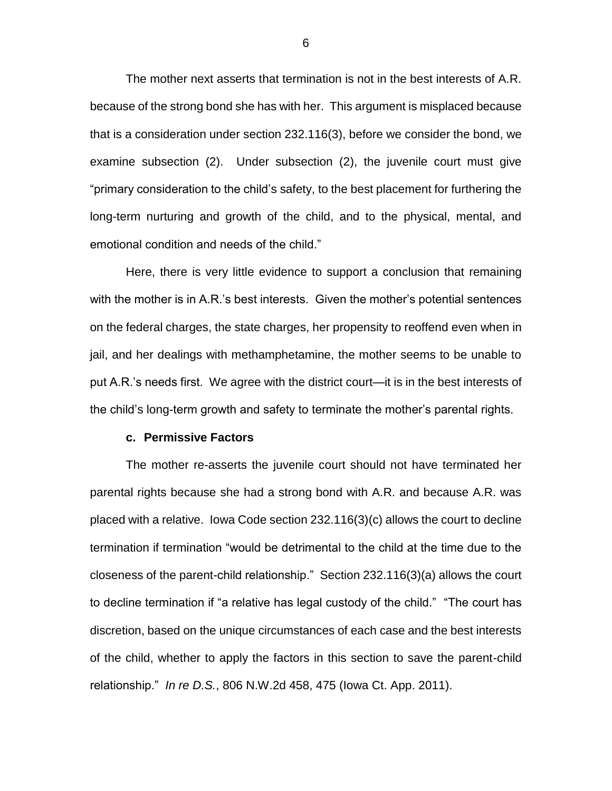The mother next asserts that termination is not in the best interests of A.R. because of the strong bond she has with her. This argument is misplaced because that is a consideration under section 232.116(3), before we consider the bond, we examine subsection (2). Under subsection (2), the juvenile court must give "primary consideration to the child's safety, to the best placement for furthering the long-term nurturing and growth of the child, and to the physical, mental, and emotional condition and needs of the child."

Here, there is very little evidence to support a conclusion that remaining with the mother is in A.R.'s best interests. Given the mother's potential sentences on the federal charges, the state charges, her propensity to reoffend even when in jail, and her dealings with methamphetamine, the mother seems to be unable to put A.R.'s needs first. We agree with the district court—it is in the best interests of the child's long-term growth and safety to terminate the mother's parental rights.

#### **c. Permissive Factors**

The mother re-asserts the juvenile court should not have terminated her parental rights because she had a strong bond with A.R. and because A.R. was placed with a relative. Iowa Code section 232.116(3)(c) allows the court to decline termination if termination "would be detrimental to the child at the time due to the closeness of the parent-child relationship." Section 232.116(3)(a) allows the court to decline termination if "a relative has legal custody of the child." "The court has discretion, based on the unique circumstances of each case and the best interests of the child, whether to apply the factors in this section to save the parent-child relationship." *In re D.S.*, 806 N.W.2d 458, 475 (Iowa Ct. App. 2011).

6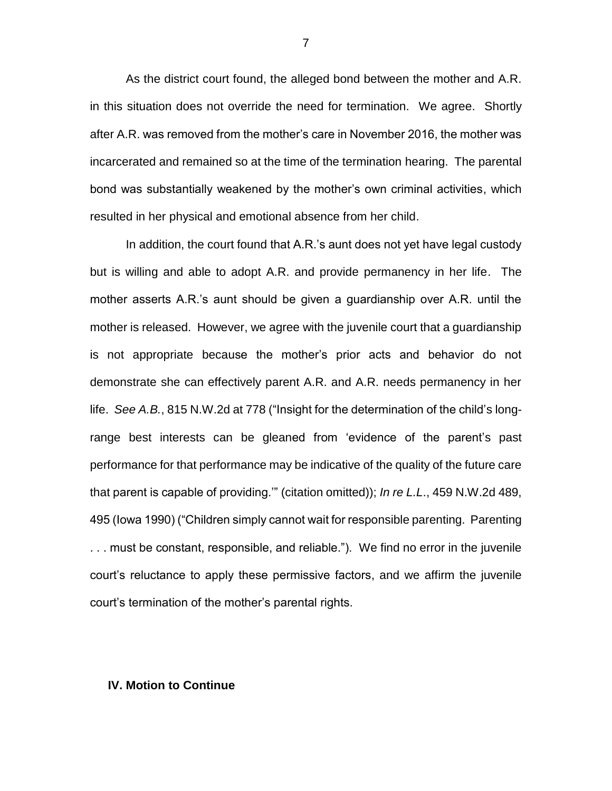As the district court found, the alleged bond between the mother and A.R. in this situation does not override the need for termination. We agree. Shortly after A.R. was removed from the mother's care in November 2016, the mother was incarcerated and remained so at the time of the termination hearing. The parental bond was substantially weakened by the mother's own criminal activities, which resulted in her physical and emotional absence from her child.

In addition, the court found that A.R.'s aunt does not yet have legal custody but is willing and able to adopt A.R. and provide permanency in her life. The mother asserts A.R.'s aunt should be given a guardianship over A.R. until the mother is released. However, we agree with the juvenile court that a guardianship is not appropriate because the mother's prior acts and behavior do not demonstrate she can effectively parent A.R. and A.R. needs permanency in her life. *See A.B.*, 815 N.W.2d at 778 ("Insight for the determination of the child's longrange best interests can be gleaned from 'evidence of the parent's past performance for that performance may be indicative of the quality of the future care that parent is capable of providing.'" (citation omitted)); *In re L.L*., 459 N.W.2d 489, 495 (Iowa 1990) ("Children simply cannot wait for responsible parenting. Parenting . . . must be constant, responsible, and reliable."). We find no error in the juvenile court's reluctance to apply these permissive factors, and we affirm the juvenile court's termination of the mother's parental rights.

#### **IV. Motion to Continue**

7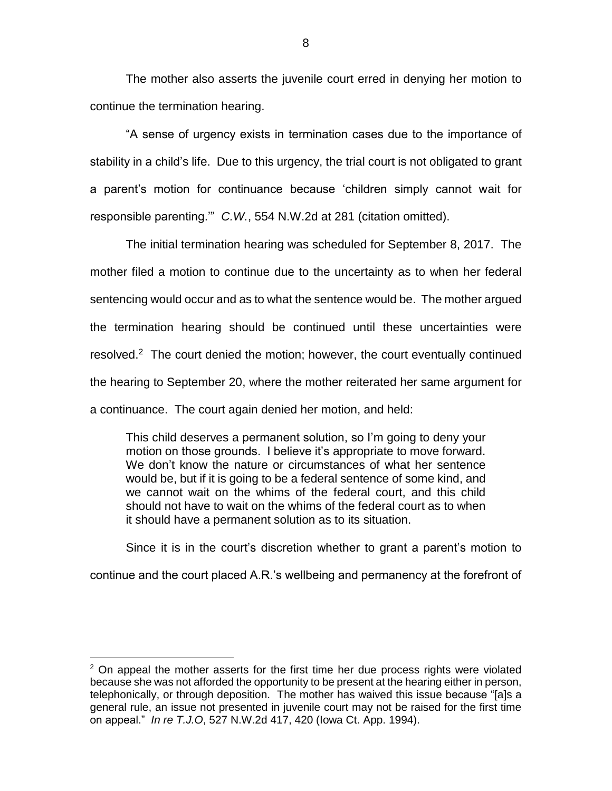The mother also asserts the juvenile court erred in denying her motion to continue the termination hearing.

"A sense of urgency exists in termination cases due to the importance of stability in a child's life. Due to this urgency, the trial court is not obligated to grant a parent's motion for continuance because 'children simply cannot wait for responsible parenting.'" *C.W.*, 554 N.W.2d at 281 (citation omitted).

The initial termination hearing was scheduled for September 8, 2017. The mother filed a motion to continue due to the uncertainty as to when her federal sentencing would occur and as to what the sentence would be. The mother argued the termination hearing should be continued until these uncertainties were resolved.<sup>2</sup> The court denied the motion; however, the court eventually continued the hearing to September 20, where the mother reiterated her same argument for a continuance. The court again denied her motion, and held:

This child deserves a permanent solution, so I'm going to deny your motion on those grounds. I believe it's appropriate to move forward. We don't know the nature or circumstances of what her sentence would be, but if it is going to be a federal sentence of some kind, and we cannot wait on the whims of the federal court, and this child should not have to wait on the whims of the federal court as to when it should have a permanent solution as to its situation.

Since it is in the court's discretion whether to grant a parent's motion to continue and the court placed A.R.'s wellbeing and permanency at the forefront of

 $\overline{a}$ 

 $2$  On appeal the mother asserts for the first time her due process rights were violated because she was not afforded the opportunity to be present at the hearing either in person, telephonically, or through deposition. The mother has waived this issue because "[a]s a general rule, an issue not presented in juvenile court may not be raised for the first time on appeal." *In re T.J.O*, 527 N.W.2d 417, 420 (Iowa Ct. App. 1994).